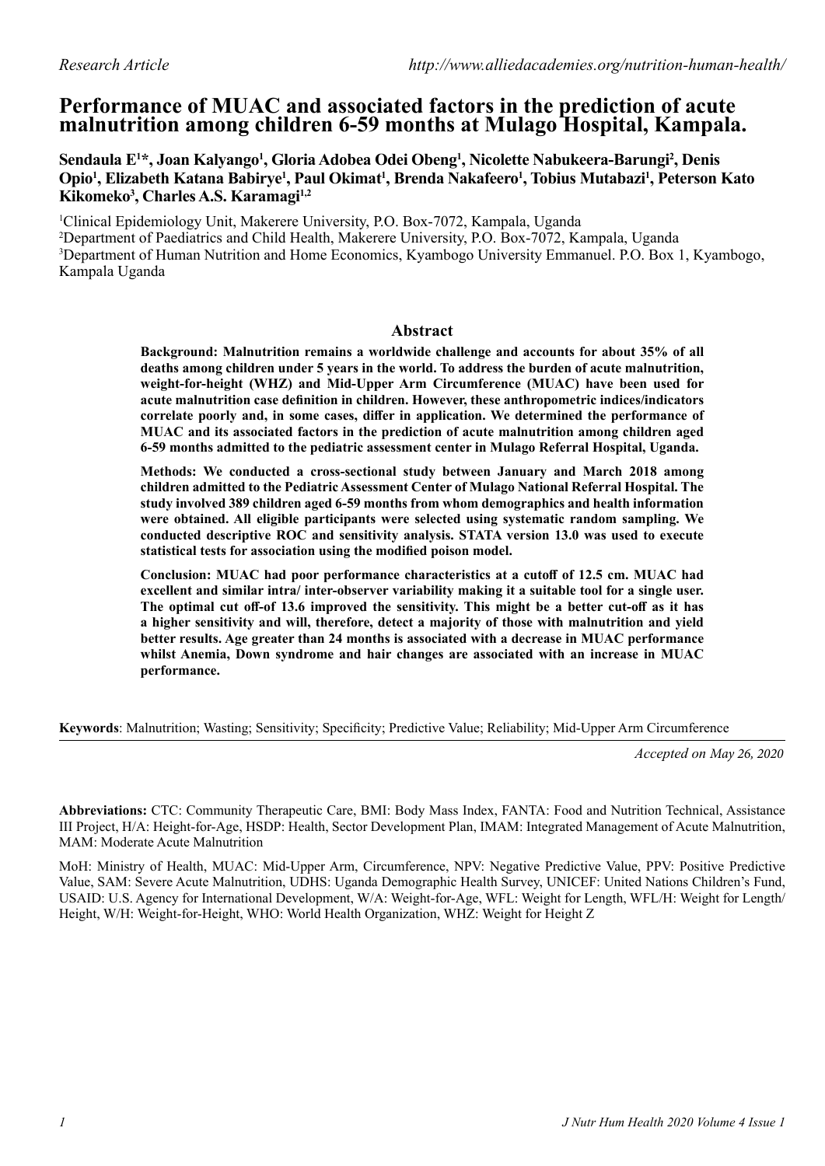# **Performance of MUAC and associated factors in the prediction of acute malnutrition among children 6-59 months at Mulago Hospital, Kampala.**

**Sendaula E1 \*, Joan Kalyango1 , Gloria Adobea Odei Obeng1 , Nicolette Nabukeera-Barungi2 , Denis Opio1 , Elizabeth Katana Babirye1 , Paul Okimat1 , Brenda Nakafeero1 , Tobius Mutabazi1 , Peterson Kato Kikomeko3 , Charles A.S. Karamagi1,2**

 Clinical Epidemiology Unit, Makerere University, P.O. Box-7072, Kampala, Uganda Department of Paediatrics and Child Health, Makerere University, P.O. Box-7072, Kampala, Uganda Department of Human Nutrition and Home Economics, Kyambogo University Emmanuel. P.O. Box 1, Kyambogo, Kampala Uganda

### **Abstract**

**Background: Malnutrition remains a worldwide challenge and accounts for about 35% of all deaths among children under 5 years in the world. To address the burden of acute malnutrition, weight-for-height (WHZ) and Mid-Upper Arm Circumference (MUAC) have been used for acute malnutrition case definition in children. However, these anthropometric indices/indicators correlate poorly and, in some cases, differ in application. We determined the performance of MUAC and its associated factors in the prediction of acute malnutrition among children aged 6-59 months admitted to the pediatric assessment center in Mulago Referral Hospital, Uganda.**

**Methods: We conducted a cross-sectional study between January and March 2018 among children admitted to the Pediatric Assessment Center of Mulago National Referral Hospital. The study involved 389 children aged 6-59 months from whom demographics and health information were obtained. All eligible participants were selected using systematic random sampling. We conducted descriptive ROC and sensitivity analysis. STATA version 13.0 was used to execute statistical tests for association using the modified poison model.**

**Conclusion: MUAC had poor performance characteristics at a cutoff of 12.5 cm. MUAC had excellent and similar intra/ inter-observer variability making it a suitable tool for a single user. The optimal cut off-of 13.6 improved the sensitivity. This might be a better cut-off as it has a higher sensitivity and will, therefore, detect a majority of those with malnutrition and yield better results. Age greater than 24 months is associated with a decrease in MUAC performance whilst Anemia, Down syndrome and hair changes are associated with an increase in MUAC performance.**

**Keywords**: Malnutrition; Wasting; Sensitivity; Specificity; Predictive Value; Reliability; Mid-Upper Arm Circumference

*Accepted on May 26, 2020*

**Abbreviations:** CTC: Community Therapeutic Care, BMI: Body Mass Index, FANTA: Food and Nutrition Technical, Assistance III Project, H/A: Height-for-Age, HSDP: Health, Sector Development Plan, IMAM: Integrated Management of Acute Malnutrition, MAM: Moderate Acute Malnutrition

MoH: Ministry of Health, MUAC: Mid-Upper Arm, Circumference, NPV: Negative Predictive Value, PPV: Positive Predictive Value, SAM: Severe Acute Malnutrition, UDHS: Uganda Demographic Health Survey, UNICEF: United Nations Children's Fund, USAID: U.S. Agency for International Development, W/A: Weight-for-Age, WFL: Weight for Length, WFL/H: Weight for Length/ Height, W/H: Weight-for-Height, WHO: World Health Organization, WHZ: Weight for Height Z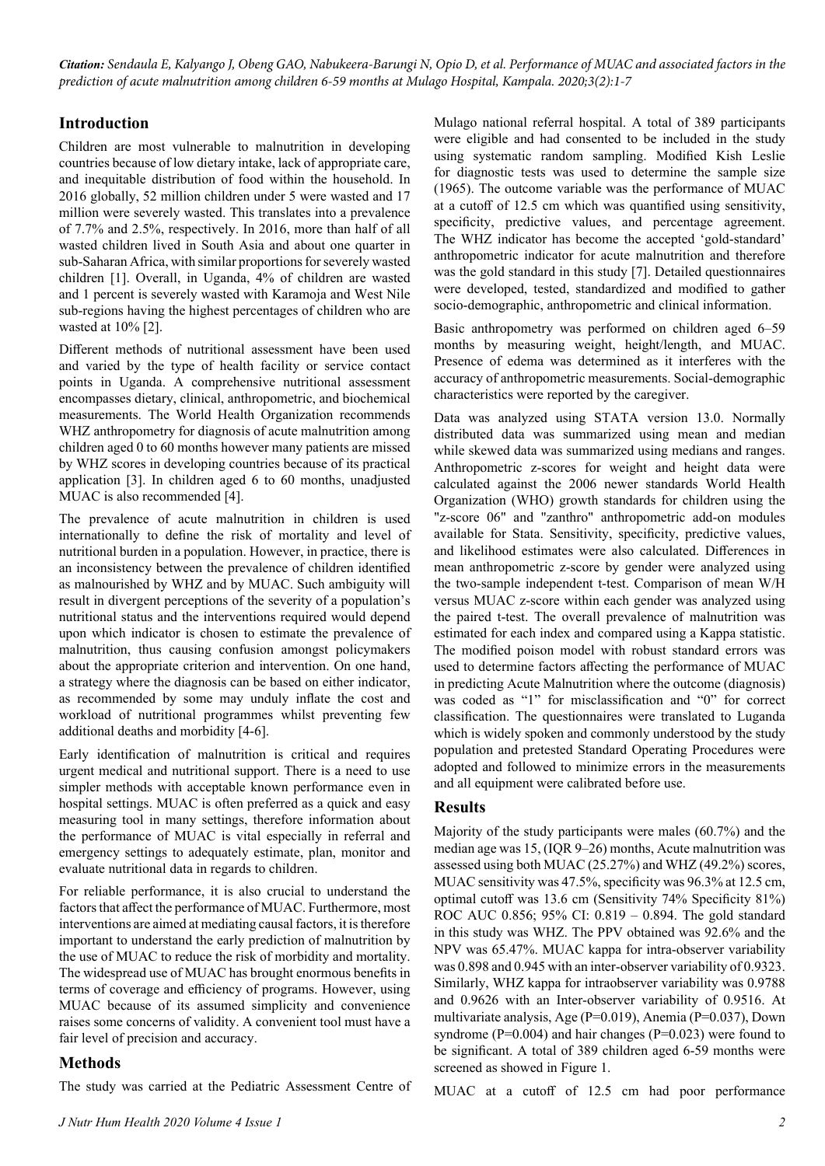*Citation: Sendaula E, Kalyango J, Obeng GAO, Nabukeera-Barungi N, Opio D, et al. Performance of MUAC and associated factors in the prediction of acute malnutrition among children 6-59 months at Mulago Hospital, Kampala. 2020;3(2):1-7*

## **Introduction**

Children are most vulnerable to malnutrition in developing countries because of low dietary intake, lack of appropriate care, and inequitable distribution of food within the household. In 2016 globally, 52 million children under 5 were wasted and 17 million were severely wasted. This translates into a prevalence of 7.7% and 2.5%, respectively. In 2016, more than half of all wasted children lived in South Asia and about one quarter in sub-Saharan Africa, with similar proportions for severely wasted children [1]. Overall, in Uganda, 4% of children are wasted and 1 percent is severely wasted with Karamoja and West Nile sub-regions having the highest percentages of children who are wasted at 10% [2].

Different methods of nutritional assessment have been used and varied by the type of health facility or service contact points in Uganda. A comprehensive nutritional assessment encompasses dietary, clinical, anthropometric, and biochemical measurements. The World Health Organization recommends WHZ anthropometry for diagnosis of acute malnutrition among children aged 0 to 60 months however many patients are missed by WHZ scores in developing countries because of its practical application [3]. In children aged 6 to 60 months, unadjusted MUAC is also recommended [4].

The prevalence of acute malnutrition in children is used internationally to define the risk of mortality and level of nutritional burden in a population. However, in practice, there is an inconsistency between the prevalence of children identified as malnourished by WHZ and by MUAC. Such ambiguity will result in divergent perceptions of the severity of a population's nutritional status and the interventions required would depend upon which indicator is chosen to estimate the prevalence of malnutrition, thus causing confusion amongst policymakers about the appropriate criterion and intervention. On one hand, a strategy where the diagnosis can be based on either indicator, as recommended by some may unduly inflate the cost and workload of nutritional programmes whilst preventing few additional deaths and morbidity [4-6].

Early identification of malnutrition is critical and requires urgent medical and nutritional support. There is a need to use simpler methods with acceptable known performance even in hospital settings. MUAC is often preferred as a quick and easy measuring tool in many settings, therefore information about the performance of MUAC is vital especially in referral and emergency settings to adequately estimate, plan, monitor and evaluate nutritional data in regards to children.

For reliable performance, it is also crucial to understand the factors that affect the performance of MUAC. Furthermore, most interventions are aimed at mediating causal factors, it is therefore important to understand the early prediction of malnutrition by the use of MUAC to reduce the risk of morbidity and mortality. The widespread use of MUAC has brought enormous benefits in terms of coverage and efficiency of programs. However, using MUAC because of its assumed simplicity and convenience raises some concerns of validity. A convenient tool must have a fair level of precision and accuracy.

## **Methods**

The study was carried at the Pediatric Assessment Centre of

Mulago national referral hospital. A total of 389 participants were eligible and had consented to be included in the study using systematic random sampling. Modified Kish Leslie for diagnostic tests was used to determine the sample size (1965). The outcome variable was the performance of MUAC at a cutoff of 12.5 cm which was quantified using sensitivity, specificity, predictive values, and percentage agreement. The WHZ indicator has become the accepted 'gold-standard' anthropometric indicator for acute malnutrition and therefore was the gold standard in this study [7]. Detailed questionnaires were developed, tested, standardized and modified to gather socio-demographic, anthropometric and clinical information.

Basic anthropometry was performed on children aged 6–59 months by measuring weight, height/length, and MUAC. Presence of edema was determined as it interferes with the accuracy of anthropometric measurements. Social-demographic characteristics were reported by the caregiver.

Data was analyzed using STATA version 13.0. Normally distributed data was summarized using mean and median while skewed data was summarized using medians and ranges. Anthropometric z-scores for weight and height data were calculated against the 2006 newer standards World Health Organization (WHO) growth standards for children using the "z-score 06" and "zanthro" anthropometric add-on modules available for Stata. Sensitivity, specificity, predictive values, and likelihood estimates were also calculated. Differences in mean anthropometric z-score by gender were analyzed using the two-sample independent t-test. Comparison of mean W/H versus MUAC z-score within each gender was analyzed using the paired t-test. The overall prevalence of malnutrition was estimated for each index and compared using a Kappa statistic. The modified poison model with robust standard errors was used to determine factors affecting the performance of MUAC in predicting Acute Malnutrition where the outcome (diagnosis) was coded as "1" for misclassification and "0" for correct classification. The questionnaires were translated to Luganda which is widely spoken and commonly understood by the study population and pretested Standard Operating Procedures were adopted and followed to minimize errors in the measurements and all equipment were calibrated before use.

### **Results**

Majority of the study participants were males (60.7%) and the median age was 15, (IQR 9–26) months, Acute malnutrition was assessed using both MUAC (25.27%) and WHZ (49.2%) scores, MUAC sensitivity was 47.5%, specificity was 96.3% at 12.5 cm, optimal cutoff was 13.6 cm (Sensitivity 74% Specificity 81%) ROC AUC 0.856; 95% CI: 0.819 – 0.894. The gold standard in this study was WHZ. The PPV obtained was 92.6% and the NPV was 65.47%. MUAC kappa for intra-observer variability was 0.898 and 0.945 with an inter-observer variability of 0.9323. Similarly, WHZ kappa for intraobserver variability was 0.9788 and 0.9626 with an Inter-observer variability of 0.9516. At multivariate analysis, Age (P=0.019), Anemia (P=0.037), Down syndrome ( $P=0.004$ ) and hair changes ( $P=0.023$ ) were found to be significant. A total of 389 children aged 6-59 months were screened as showed in Figure 1.

MUAC at a cutoff of 12.5 cm had poor performance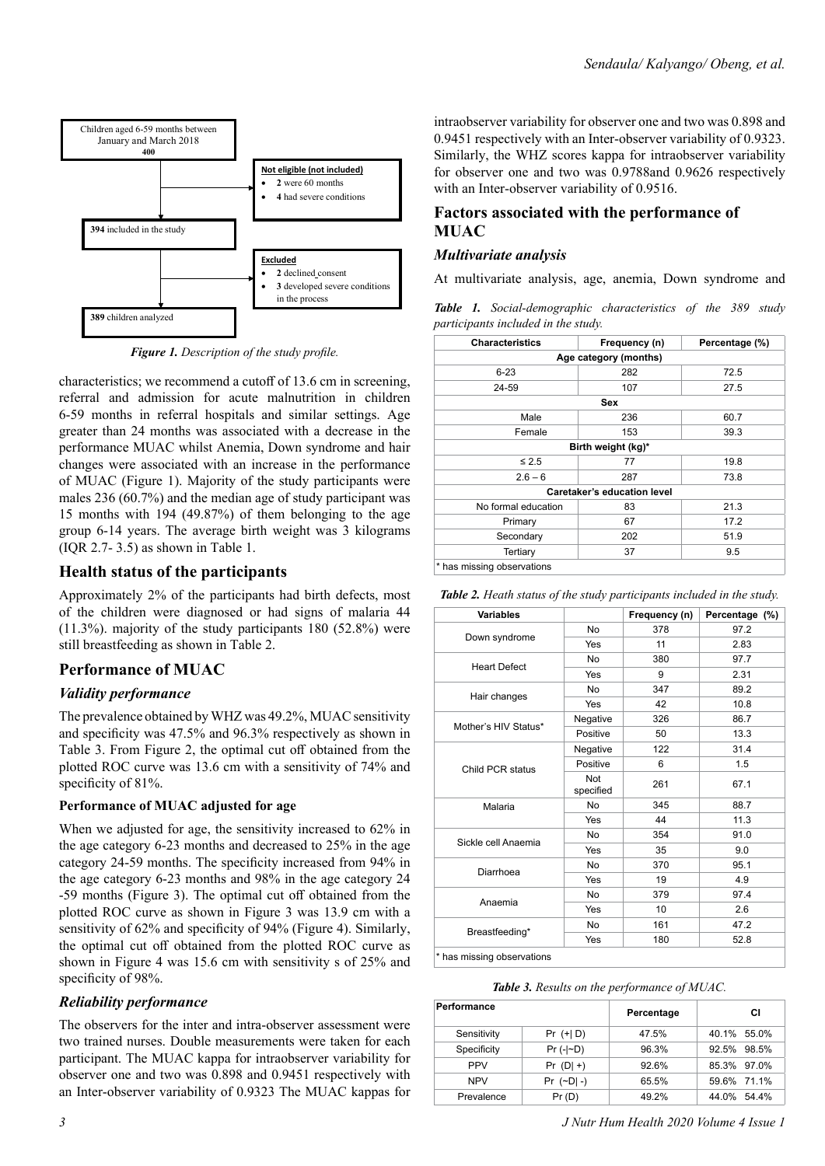

*Figure 1. Description of the study profile.*

characteristics; we recommend a cutoff of 13.6 cm in screening, referral and admission for acute malnutrition in children 6-59 months in referral hospitals and similar settings. Age greater than 24 months was associated with a decrease in the performance MUAC whilst Anemia, Down syndrome and hair changes were associated with an increase in the performance of MUAC (Figure 1). Majority of the study participants were males 236 (60.7%) and the median age of study participant was 15 months with 194 (49.87%) of them belonging to the age group 6-14 years. The average birth weight was 3 kilograms (IQR 2.7- 3.5) as shown in Table 1.

## **Health status of the participants**

Approximately 2% of the participants had birth defects, most of the children were diagnosed or had signs of malaria 44 (11.3%). majority of the study participants 180 (52.8%) were still breastfeeding as shown in Table 2.

## **Performance of MUAC**

### *Validity performance*

The prevalence obtained by WHZ was 49.2%, MUAC sensitivity and specificity was 47.5% and 96.3% respectively as shown in Table 3. From Figure 2, the optimal cut off obtained from the plotted ROC curve was 13.6 cm with a sensitivity of 74% and specificity of 81%.

### **Performance of MUAC adjusted for age**

When we adjusted for age, the sensitivity increased to 62% in the age category 6-23 months and decreased to 25% in the age category 24-59 months. The specificity increased from 94% in the age category 6-23 months and 98% in the age category 24 -59 months (Figure 3). The optimal cut off obtained from the plotted ROC curve as shown in Figure 3 was 13.9 cm with a sensitivity of 62% and specificity of 94% (Figure 4). Similarly, the optimal cut off obtained from the plotted ROC curve as shown in Figure 4 was 15.6 cm with sensitivity s of 25% and specificity of 98%.

### *Reliability performance*

The observers for the inter and intra-observer assessment were two trained nurses. Double measurements were taken for each participant. The MUAC kappa for intraobserver variability for observer one and two was 0.898 and 0.9451 respectively with an Inter-observer variability of 0.9323 The MUAC kappas for

intraobserver variability for observer one and two was 0.898 and 0.9451 respectively with an Inter-observer variability of 0.9323. Similarly, the WHZ scores kappa for intraobserver variability for observer one and two was 0.9788and 0.9626 respectively with an Inter-observer variability of 0.9516.

### **Factors associated with the performance of MUAC**

### *Multivariate analysis*

At multivariate analysis, age, anemia, Down syndrome and

*Table 1. Social-demographic characteristics of the 389 study participants included in the study.*

| <b>Characteristics</b>     | Frequency (n)               | Percentage (%) |
|----------------------------|-----------------------------|----------------|
|                            | Age category (months)       |                |
| $6 - 23$                   | 282                         | 72.5           |
| 24-59                      | 107                         | 27.5           |
|                            | Sex                         |                |
| Male                       | 236                         | 60.7           |
| Female                     | 153                         | 39.3           |
|                            | Birth weight (kg)*          |                |
| $\leq 2.5$                 | 77                          | 19.8           |
| $2.6 - 6$                  | 287                         | 73.8           |
|                            | Caretaker's education level |                |
| No formal education        | 83                          | 21.3           |
| Primary                    | 67                          | 17.2           |
| Secondary                  | 202                         | 51.9           |
| Tertiary                   | 37                          | 9.5            |
| * has missing observations |                             |                |

| <b>Variables</b>     |                                                                                                                                                              | Frequency (n)                                                                                                          | Percentage (%) |
|----------------------|--------------------------------------------------------------------------------------------------------------------------------------------------------------|------------------------------------------------------------------------------------------------------------------------|----------------|
| Down syndrome        | No                                                                                                                                                           | 378                                                                                                                    | 97.2           |
|                      | Yes                                                                                                                                                          | 11<br>380<br>9<br>347<br>42<br>326<br>50<br>122<br>6<br>261<br>345<br>44<br>354<br>35<br>370<br>19<br>379<br>10<br>161 | 2.83           |
|                      | No                                                                                                                                                           |                                                                                                                        | 97.7           |
| <b>Heart Defect</b>  | Yes<br>No<br>Yes<br>Negative<br>Positive<br>Negative<br>Positive<br>Not<br>specified<br>No<br>Yes<br>No<br>Yes<br>No<br>Yes<br><b>No</b><br>Yes<br><b>No</b> | 2.31                                                                                                                   |                |
|                      |                                                                                                                                                              |                                                                                                                        | 89.2           |
| Hair changes         |                                                                                                                                                              |                                                                                                                        | 10.8           |
| Mother's HIV Status* |                                                                                                                                                              |                                                                                                                        | 86.7           |
|                      |                                                                                                                                                              | 13.3                                                                                                                   |                |
|                      |                                                                                                                                                              |                                                                                                                        | 31.4           |
| Child PCR status     |                                                                                                                                                              |                                                                                                                        | 1.5            |
|                      |                                                                                                                                                              |                                                                                                                        | 67.1           |
| Malaria              |                                                                                                                                                              |                                                                                                                        | 88.7           |
|                      | Yes                                                                                                                                                          |                                                                                                                        | 11.3           |
| Sickle cell Anaemia  |                                                                                                                                                              | 180                                                                                                                    | 91.0           |
|                      |                                                                                                                                                              |                                                                                                                        | 9.0            |
| Diarrhoea            |                                                                                                                                                              |                                                                                                                        | 95.1           |
|                      |                                                                                                                                                              | 4.9                                                                                                                    |                |
|                      |                                                                                                                                                              |                                                                                                                        | 97.4           |
| Anaemia              |                                                                                                                                                              | 2.6                                                                                                                    |                |
|                      |                                                                                                                                                              |                                                                                                                        | 47.2           |
| Breastfeeding*       |                                                                                                                                                              |                                                                                                                        | 52.8           |

*Table 3. Results on the performance of MUAC.*

| Performance |             | Percentage | СI             |
|-------------|-------------|------------|----------------|
| Sensitivity | $Pr (+  D)$ | 47.5%      | 40.1% 55.0%    |
| Specificity | $Pr(. -D)$  | 96.3%      | 92.5% 98.5%    |
| <b>PPV</b>  | $Pr (D  +)$ | 92.6%      | 85.3% 97.0%    |
| <b>NPV</b>  | $Pr (-D -)$ | 65.5%      | 59.6% 71.1%    |
| Prevalence  | Pr(D)       | 49.2%      | 44.0%<br>54 4% |

*3 J Nutr Hum Health 2020 Volume 4 Issue 1*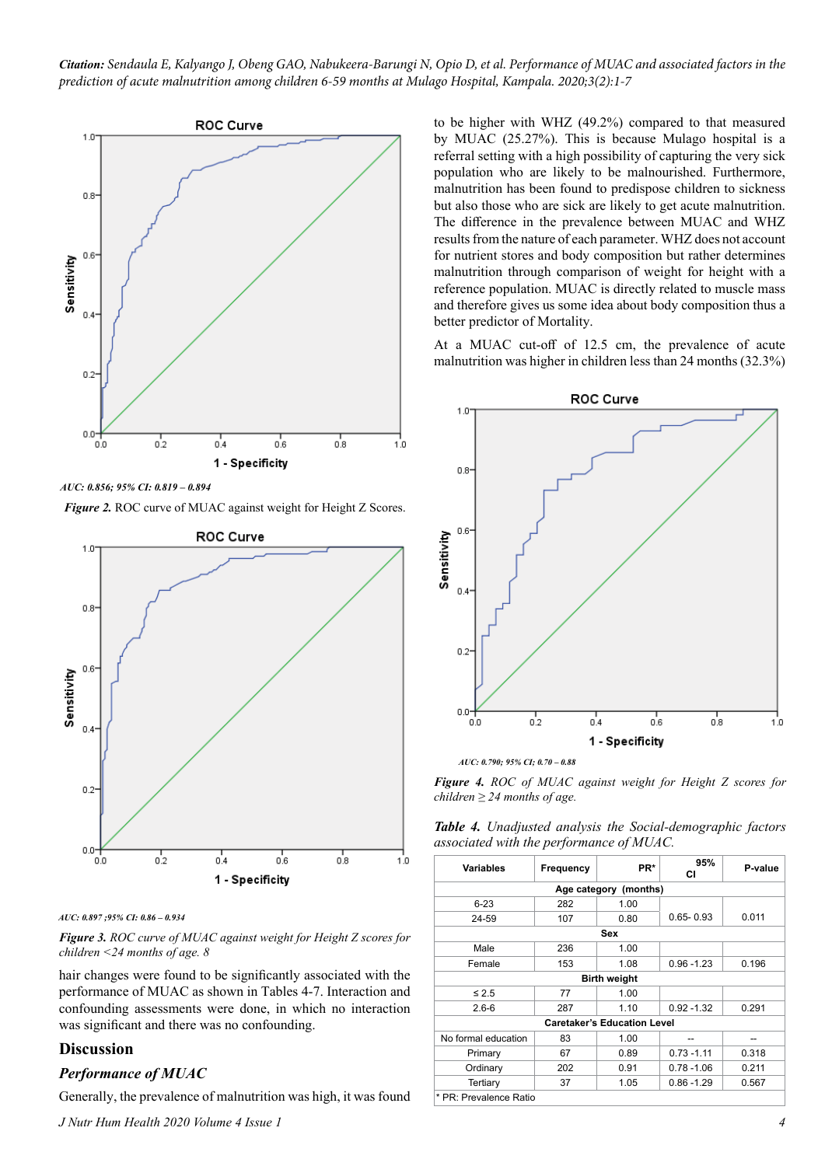*Citation: Sendaula E, Kalyango J, Obeng GAO, Nabukeera-Barungi N, Opio D, et al. Performance of MUAC and associated factors in the prediction of acute malnutrition among children 6-59 months at Mulago Hospital, Kampala. 2020;3(2):1-7*



*AUC: 0.856; 95% CI: 0.819 – 0.894*

**Figure 2.** ROC curve of MUAC against weight for Height Z Scores.



*AUC: 0.897 ;95% CI: 0.86 – 0.934*

*Figure 3. ROC curve of MUAC against weight for Height Z scores for children <24 months of age. 8*

hair changes were found to be significantly associated with the performance of MUAC as shown in Tables 4-7. Interaction and confounding assessments were done, in which no interaction was significant and there was no confounding.

### **Discussion**

### *Performance of MUAC*

Generally, the prevalence of malnutrition was high, it was found

*J Nutr Hum Health 2020 Volume 4 Issue 1*

to be higher with WHZ (49.2%) compared to that measured by MUAC (25.27%). This is because Mulago hospital is a referral setting with a high possibility of capturing the very sick population who are likely to be malnourished. Furthermore, malnutrition has been found to predispose children to sickness but also those who are sick are likely to get acute malnutrition. The difference in the prevalence between MUAC and WHZ results from the nature of each parameter. WHZ does not account for nutrient stores and body composition but rather determines malnutrition through comparison of weight for height with a reference population. MUAC is directly related to muscle mass and therefore gives us some idea about body composition thus a better predictor of Mortality.

At a MUAC cut-off of 12.5 cm, the prevalence of acute malnutrition was higher in children less than 24 months (32.3%)



*AUC: 0.790; 95% CI; 0.70 – 0.88*

*Figure 4. ROC of MUAC against weight for Height Z scores for children ≥ 24 months of age.*

*Table 4. Unadjusted analysis the Social-demographic factors associated with the performance of MUAC.*

| <b>Variables</b>       | Frequency | PR*                                | 95%<br>СI     | P-value |
|------------------------|-----------|------------------------------------|---------------|---------|
|                        |           | Age category (months)              |               |         |
| $6 - 23$               | 282       | 1.00                               |               |         |
| 24-59                  | 107       | 0.80                               | $0.65 - 0.93$ | 0.011   |
|                        |           | Sex                                |               |         |
| Male                   | 236       | 1.00                               |               |         |
| Female                 | 153       | 1.08                               | $0.96 - 1.23$ | 0.196   |
|                        |           | <b>Birth weight</b>                |               |         |
| $\leq 2.5$             | 77        | 1.00                               |               |         |
| $2.6 - 6$              | 287       | 1.10                               | $0.92 - 1.32$ | 0.291   |
|                        |           | <b>Caretaker's Education Level</b> |               |         |
| No formal education    | 83        | 1.00                               |               |         |
| Primary                | 67        | 0.89                               | $0.73 - 1.11$ | 0.318   |
| Ordinary               | 202       | 0.91                               | $0.78 - 1.06$ | 0.211   |
| Tertiary               | 37        | 1.05                               | $0.86 - 1.29$ | 0.567   |
| * PR: Prevalence Ratio |           |                                    |               |         |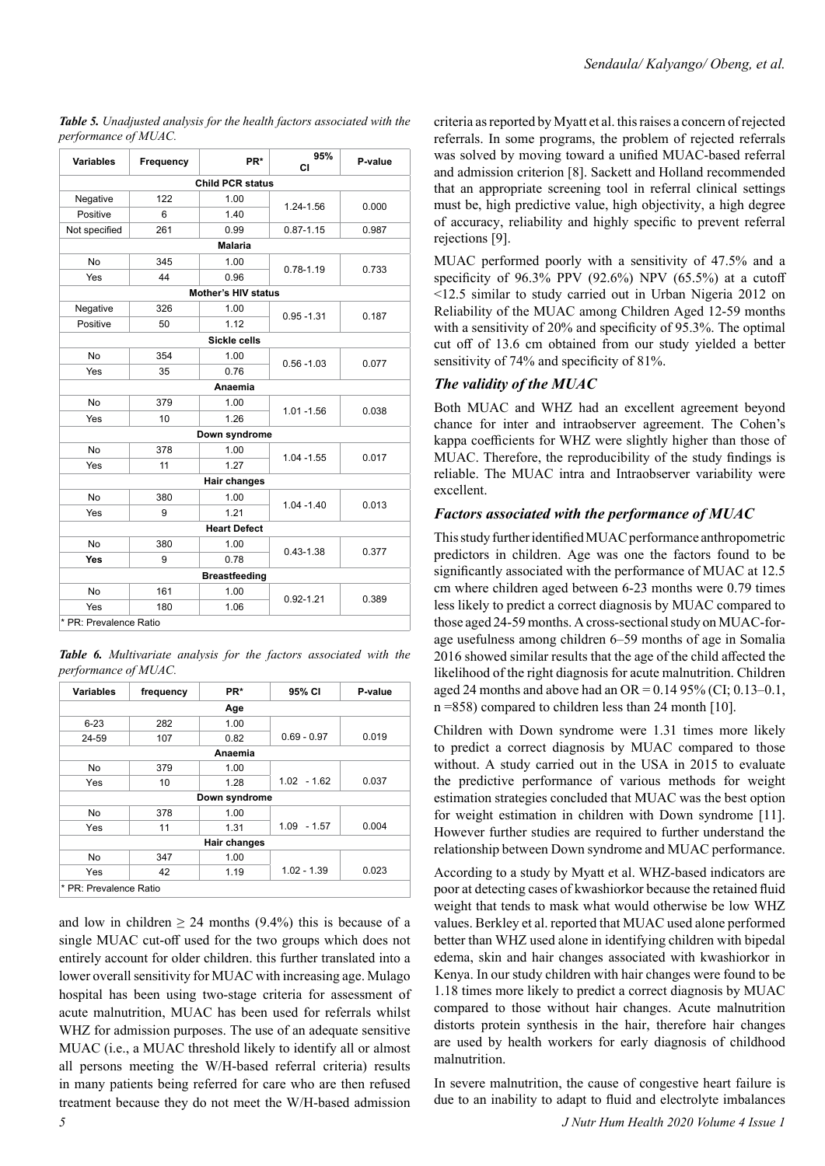| <b>Variables</b>       | Frequency | PR*                        | 95%<br>CI     | P-value |
|------------------------|-----------|----------------------------|---------------|---------|
|                        |           | <b>Child PCR status</b>    |               |         |
| Negative               | 122       | 1.00                       |               |         |
| Positive               | 6         | 1.40                       | 1.24-1.56     | 0.000   |
| Not specified          | 261       | 0.99                       | $0.87 - 1.15$ | 0.987   |
|                        |           | <b>Malaria</b>             |               |         |
| <b>No</b>              | 345       | 1.00                       | 0.78-1.19     | 0.733   |
| Yes                    | 44        | 0.96                       |               |         |
|                        |           | <b>Mother's HIV status</b> |               |         |
| Negative               | 326       | 1.00                       | $0.95 - 1.31$ |         |
| Positive               | 50        | 1.12                       |               | 0.187   |
|                        |           | Sickle cells               |               |         |
| <b>No</b>              | 354       | 1.00                       | $0.56 - 1.03$ | 0.077   |
| Yes                    | 35        | 0.76                       |               |         |
|                        |           | Anaemia                    |               |         |
| <b>No</b>              | 379       | 1.00                       | $1.01 - 1.56$ | 0.038   |
| Yes                    | 10        | 1.26                       |               |         |
|                        |           | Down syndrome              |               |         |
| <b>No</b>              | 378       | 1.00                       | $1.04 - 1.55$ | 0.017   |
| Yes                    | 11        | 1.27                       |               |         |
|                        |           | <b>Hair changes</b>        |               |         |
| <b>No</b>              | 380       | 1.00                       | $1.04 - 1.40$ | 0.013   |
| Yes                    | 9         | 1.21                       |               |         |
|                        |           | <b>Heart Defect</b>        |               |         |
| <b>No</b>              | 380       | 1.00                       | $0.43 - 1.38$ | 0.377   |
| <b>Yes</b>             | 9         | 0.78                       |               |         |
|                        |           | <b>Breastfeeding</b>       |               |         |
| No                     | 161       | 1.00                       | $0.92 - 1.21$ | 0.389   |
| Yes                    | 180       | 1.06                       |               |         |
| * PR: Prevalence Ratio |           |                            |               |         |

*Table 5. Unadjusted analysis for the health factors associated with the performance of MUAC.*

*Table 6. Multivariate analysis for the factors associated with the performance of MUAC.*

| <b>Variables</b> | frequency | PR*           | 95% CI        | P-value |
|------------------|-----------|---------------|---------------|---------|
|                  |           | Age           |               |         |
| $6 - 23$         | 282       | 1.00          |               |         |
| 24-59            | 107       | 0.82          | $0.69 - 0.97$ | 0.019   |
|                  |           | Anaemia       |               |         |
| No.              | 379       | 1.00          |               |         |
| Yes              | 10        | 1.28          | $1.02 - 1.62$ | 0.037   |
|                  |           | Down syndrome |               |         |
| <b>No</b>        | 378       | 1.00          |               |         |
| Yes              | 11        | 1.31          | $1.09 - 1.57$ | 0.004   |
|                  |           | Hair changes  |               |         |
| <b>No</b>        | 347       | 1.00          |               |         |
| Yes              | 42        | 1.19          | $1.02 - 1.39$ | 0.023   |

and low in children  $\geq 24$  months (9.4%) this is because of a single MUAC cut-off used for the two groups which does not entirely account for older children. this further translated into a lower overall sensitivity for MUAC with increasing age. Mulago hospital has been using two-stage criteria for assessment of acute malnutrition, MUAC has been used for referrals whilst WHZ for admission purposes. The use of an adequate sensitive MUAC (i.e., a MUAC threshold likely to identify all or almost all persons meeting the W/H-based referral criteria) results in many patients being referred for care who are then refused treatment because they do not meet the W/H-based admission criteria as reported by Myatt et al. this raises a concern of rejected referrals. In some programs, the problem of rejected referrals was solved by moving toward a unified MUAC-based referral and admission criterion [8]. Sackett and Holland recommended that an appropriate screening tool in referral clinical settings must be, high predictive value, high objectivity, a high degree of accuracy, reliability and highly specific to prevent referral rejections [9].

MUAC performed poorly with a sensitivity of 47.5% and a specificity of  $96.3\%$  PPV  $(92.6\%)$  NPV  $(65.5\%)$  at a cutoff <12.5 similar to study carried out in Urban Nigeria 2012 on Reliability of the MUAC among Children Aged 12-59 months with a sensitivity of 20% and specificity of 95.3%. The optimal cut off of 13.6 cm obtained from our study yielded a better sensitivity of 74% and specificity of 81%.

## *The validity of the MUAC*

Both MUAC and WHZ had an excellent agreement beyond chance for inter and intraobserver agreement. The Cohen's kappa coefficients for WHZ were slightly higher than those of MUAC. Therefore, the reproducibility of the study findings is reliable. The MUAC intra and Intraobserver variability were excellent.

## *Factors associated with the performance of MUAC*

This study further identified MUAC performance anthropometric predictors in children. Age was one the factors found to be significantly associated with the performance of MUAC at 12.5 cm where children aged between 6-23 months were 0.79 times less likely to predict a correct diagnosis by MUAC compared to those aged 24-59 months. A cross-sectional study on MUAC-forage usefulness among children 6–59 months of age in Somalia 2016 showed similar results that the age of the child affected the likelihood of the right diagnosis for acute malnutrition. Children aged 24 months and above had an OR =  $0.1495\%$  (CI; 0.13–0.1,  $n = 858$ ) compared to children less than 24 month [10].

Children with Down syndrome were 1.31 times more likely to predict a correct diagnosis by MUAC compared to those without. A study carried out in the USA in 2015 to evaluate the predictive performance of various methods for weight estimation strategies concluded that MUAC was the best option for weight estimation in children with Down syndrome [11]. However further studies are required to further understand the relationship between Down syndrome and MUAC performance.

According to a study by Myatt et al. WHZ-based indicators are poor at detecting cases of kwashiorkor because the retained fluid weight that tends to mask what would otherwise be low WHZ values. Berkley et al. reported that MUAC used alone performed better than WHZ used alone in identifying children with bipedal edema, skin and hair changes associated with kwashiorkor in Kenya. In our study children with hair changes were found to be 1.18 times more likely to predict a correct diagnosis by MUAC compared to those without hair changes. Acute malnutrition distorts protein synthesis in the hair, therefore hair changes are used by health workers for early diagnosis of childhood malnutrition.

In severe malnutrition, the cause of congestive heart failure is due to an inability to adapt to fluid and electrolyte imbalances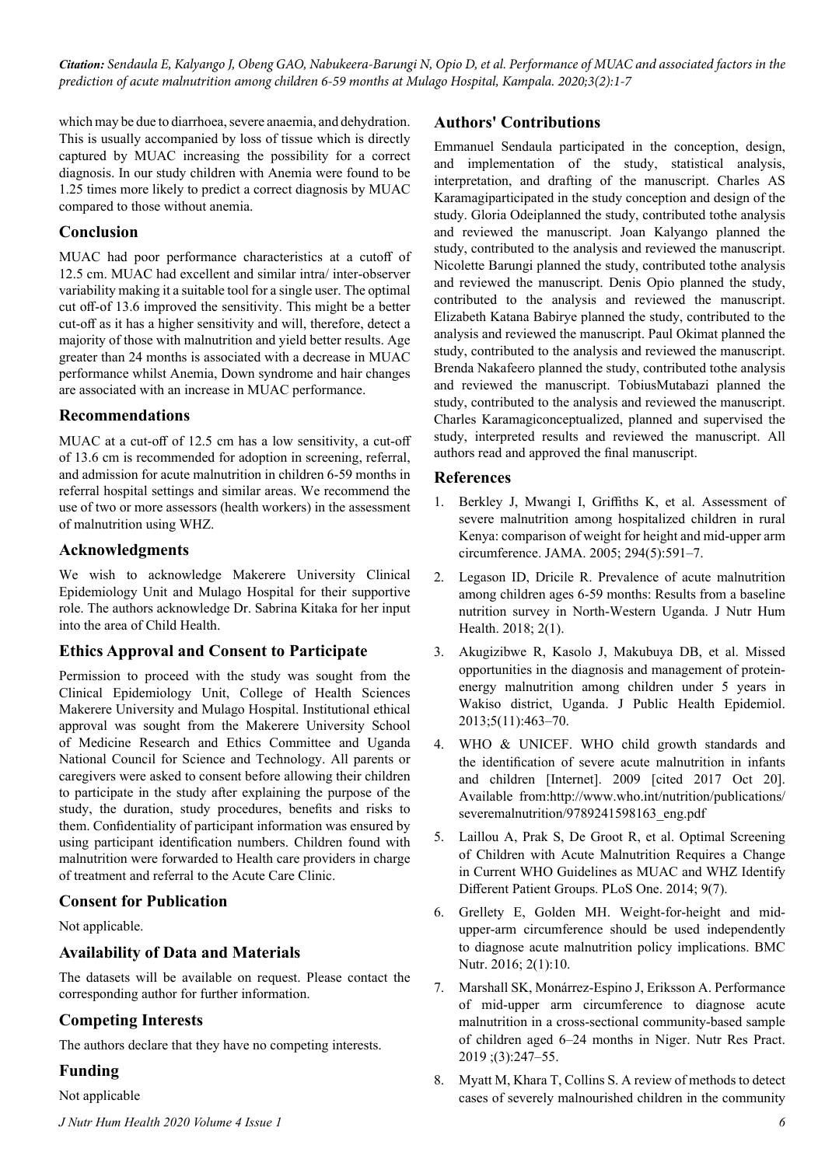*Citation: Sendaula E, Kalyango J, Obeng GAO, Nabukeera-Barungi N, Opio D, et al. Performance of MUAC and associated factors in the prediction of acute malnutrition among children 6-59 months at Mulago Hospital, Kampala. 2020;3(2):1-7*

which may be due to diarrhoea, severe anaemia, and dehydration. This is usually accompanied by loss of tissue which is directly captured by MUAC increasing the possibility for a correct diagnosis. In our study children with Anemia were found to be 1.25 times more likely to predict a correct diagnosis by MUAC compared to those without anemia.

### **Conclusion**

MUAC had poor performance characteristics at a cutoff of 12.5 cm. MUAC had excellent and similar intra/ inter-observer variability making it a suitable tool for a single user. The optimal cut off-of 13.6 improved the sensitivity. This might be a better cut-off as it has a higher sensitivity and will, therefore, detect a majority of those with malnutrition and yield better results. Age greater than 24 months is associated with a decrease in MUAC performance whilst Anemia, Down syndrome and hair changes are associated with an increase in MUAC performance.

### **Recommendations**

MUAC at a cut-off of 12.5 cm has a low sensitivity, a cut-off of 13.6 cm is recommended for adoption in screening, referral, and admission for acute malnutrition in children 6-59 months in referral hospital settings and similar areas. We recommend the use of two or more assessors (health workers) in the assessment of malnutrition using WHZ.

### **Acknowledgments**

We wish to acknowledge Makerere University Clinical Epidemiology Unit and Mulago Hospital for their supportive role. The authors acknowledge Dr. Sabrina Kitaka for her input into the area of Child Health.

## **Ethics Approval and Consent to Participate**

Permission to proceed with the study was sought from the Clinical Epidemiology Unit, College of Health Sciences Makerere University and Mulago Hospital. Institutional ethical approval was sought from the Makerere University School of Medicine Research and Ethics Committee and Uganda National Council for Science and Technology. All parents or caregivers were asked to consent before allowing their children to participate in the study after explaining the purpose of the study, the duration, study procedures, benefits and risks to them. Confidentiality of participant information was ensured by using participant identification numbers. Children found with malnutrition were forwarded to Health care providers in charge of treatment and referral to the Acute Care Clinic.

### **Consent for Publication**

### Not applicable.

### **Availability of Data and Materials**

The datasets will be available on request. Please contact the corresponding author for further information.

### **Competing Interests**

The authors declare that they have no competing interests.

### **Funding**

Not applicable

### **Authors' Contributions**

Emmanuel Sendaula participated in the conception, design, and implementation of the study, statistical analysis, interpretation, and drafting of the manuscript. Charles AS Karamagiparticipated in the study conception and design of the study. Gloria Odeiplanned the study, contributed tothe analysis and reviewed the manuscript. Joan Kalyango planned the study, contributed to the analysis and reviewed the manuscript. Nicolette Barungi planned the study, contributed tothe analysis and reviewed the manuscript. Denis Opio planned the study, contributed to the analysis and reviewed the manuscript. Elizabeth Katana Babirye planned the study, contributed to the analysis and reviewed the manuscript. Paul Okimat planned the study, contributed to the analysis and reviewed the manuscript. Brenda Nakafeero planned the study, contributed tothe analysis and reviewed the manuscript. TobiusMutabazi planned the study, contributed to the analysis and reviewed the manuscript. Charles Karamagiconceptualized, planned and supervised the study, interpreted results and reviewed the manuscript. All authors read and approved the final manuscript.

### **References**

- 1. Berkley J, Mwangi I, Griffiths K, et al. Assessment of severe malnutrition among hospitalized children in rural Kenya: comparison of weight for height and mid-upper arm circumference. JAMA. 2005; 294(5):591–7.
- 2. Legason ID, Dricile R. Prevalence of acute malnutrition among children ages 6-59 months: Results from a baseline nutrition survey in North-Western Uganda. J Nutr Hum Health. 2018; 2(1).
- 3. Akugizibwe R, Kasolo J, Makubuya DB, et al. Missed opportunities in the diagnosis and management of proteinenergy malnutrition among children under 5 years in Wakiso district, Uganda. J Public Health Epidemiol. 2013;5(11):463–70.
- 4. WHO & UNICEF. WHO child growth standards and the identification of severe acute malnutrition in infants and children [Internet]. 2009 [cited 2017 Oct 20]. Available from:http://www.who.int/nutrition/publications/ severemalnutrition/9789241598163\_eng.pdf
- 5. Laillou A, Prak S, De Groot R, et al. Optimal Screening of Children with Acute Malnutrition Requires a Change in Current WHO Guidelines as MUAC and WHZ Identify Different Patient Groups. PLoS One. 2014; 9(7).
- 6. Grellety E, Golden MH. Weight-for-height and midupper-arm circumference should be used independently to diagnose acute malnutrition policy implications. BMC Nutr. 2016; 2(1):10.
- 7. Marshall SK, Monárrez-Espino J, Eriksson A. Performance of mid-upper arm circumference to diagnose acute malnutrition in a cross-sectional community-based sample of children aged 6–24 months in Niger. Nutr Res Pract. 2019 ;(3):247–55.
- 8. Myatt M, Khara T, Collins S. A review of methods to detect cases of severely malnourished children in the community